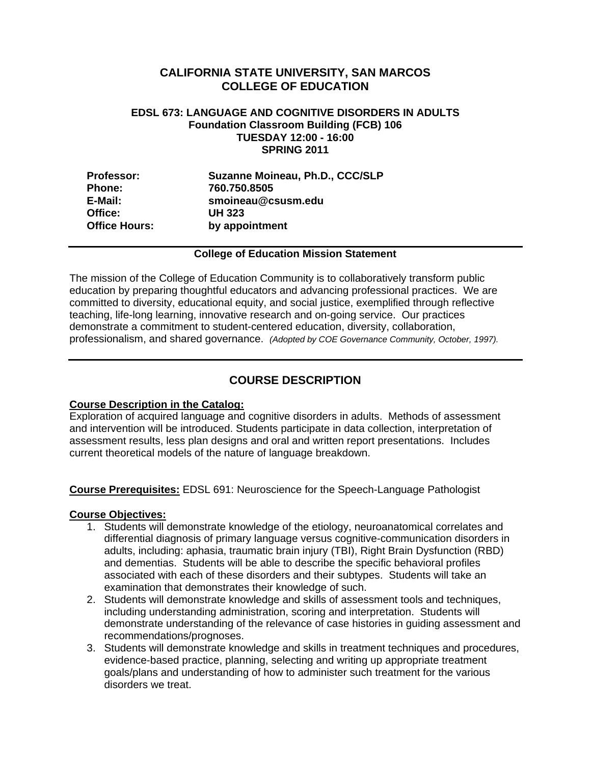# **CALIFORNIA STATE UNIVERSITY, SAN MARCOS COLLEGE OF EDUCATION**

### **EDSL 673: LANGUAGE AND COGNITIVE DISORDERS IN ADULTS Foundation Classroom Building (FCB) 106 TUESDAY 12:00 - 16:00 SPRING 2011**

| <b>Professor:</b>    | Suzanne Moineau, Ph.D., CCC/SLP |  |
|----------------------|---------------------------------|--|
| <b>Phone:</b>        | 760.750.8505                    |  |
| E-Mail:              | smoineau@csusm.edu              |  |
| Office:              | <b>UH 323</b>                   |  |
| <b>Office Hours:</b> | by appointment                  |  |

### **College of Education Mission Statement**

The mission of the College of Education Community is to collaboratively transform public education by preparing thoughtful educators and advancing professional practices. We are committed to diversity, educational equity, and social justice, exemplified through reflective teaching, life-long learning, innovative research and on-going service. Our practices demonstrate a commitment to student-centered education, diversity, collaboration, professionalism, and shared governance. *(Adopted by COE Governance Community, October, 1997).* 

## **COURSE DESCRIPTION**

## **Course Description in the Catalog:**

Exploration of acquired language and cognitive disorders in adults. Methods of assessment and intervention will be introduced. Students participate in data collection, interpretation of assessment results, less plan designs and oral and written report presentations. Includes current theoretical models of the nature of language breakdown.

**Course Prerequisites:** EDSL 691: Neuroscience for the Speech-Language Pathologist

### **Course Objectives:**

- 1. Students will demonstrate knowledge of the etiology, neuroanatomical correlates and differential diagnosis of primary language versus cognitive-communication disorders in adults, including: aphasia, traumatic brain injury (TBI), Right Brain Dysfunction (RBD) and dementias. Students will be able to describe the specific behavioral profiles associated with each of these disorders and their subtypes. Students will take an examination that demonstrates their knowledge of such.
- 2. Students will demonstrate knowledge and skills of assessment tools and techniques, including understanding administration, scoring and interpretation. Students will demonstrate understanding of the relevance of case histories in guiding assessment and recommendations/prognoses.
- 3. Students will demonstrate knowledge and skills in treatment techniques and procedures, evidence-based practice, planning, selecting and writing up appropriate treatment goals/plans and understanding of how to administer such treatment for the various disorders we treat.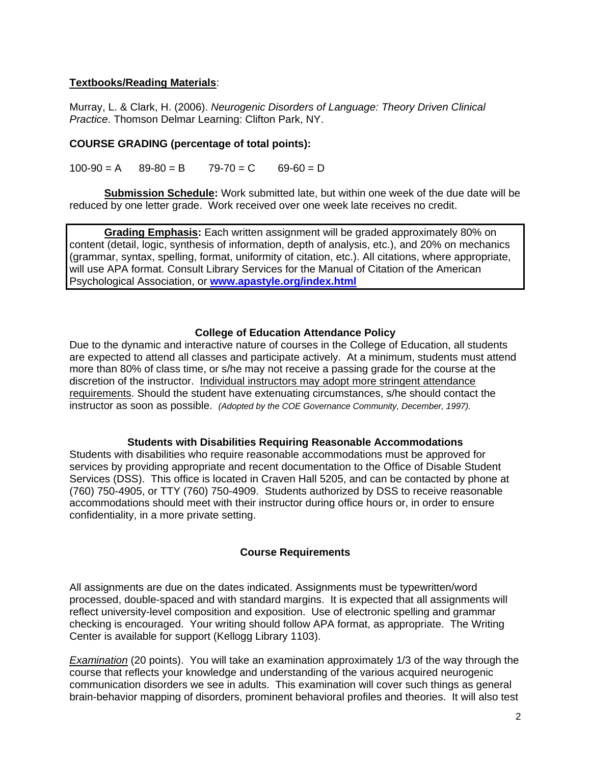## **Textbooks/Reading Materials**:

Murray, L. & Clark, H. (2006). *Neurogenic Disorders of Language: Theory Driven Clinical Practice*. Thomson Delmar Learning: Clifton Park, NY.

## **COURSE GRADING (percentage of total points):**

 $100-90 = A$   $89-80 = B$   $79-70 = C$   $69-60 = D$ 

**Submission Schedule:** Work submitted late, but within one week of the due date will be reduced by one letter grade. Work received over one week late receives no credit.

 Psychological Association, or **www.apastyle.org/index.html College of Education Attendance Policy Grading Emphasis:** Each written assignment will be graded approximately 80% on content (detail, logic, synthesis of information, depth of analysis, etc.), and 20% on mechanics (grammar, syntax, spelling, format, uniformity of citation, etc.). All citations, where appropriate, will use APA format. Consult Library Services for the Manual of Citation of the American

 instructor as soon as possible. *(Adopted by the COE Governance Community, December, 1997).* Due to the dynamic and interactive nature of courses in the College of Education, all students are expected to attend all classes and participate actively. At a minimum, students must attend more than 80% of class time, or s/he may not receive a passing grade for the course at the discretion of the instructor. Individual instructors may adopt more stringent attendance requirements. Should the student have extenuating circumstances, s/he should contact the

### **Students with Disabilities Requiring Reasonable Accommodations**

Students with disabilities who require reasonable accommodations must be approved for services by providing appropriate and recent documentation to the Office of Disable Student Services (DSS). This office is located in Craven Hall 5205, and can be contacted by phone at (760) 750-4905, or TTY (760) 750-4909. Students authorized by DSS to receive reasonable accommodations should meet with their instructor during office hours or, in order to ensure confidentiality, in a more private setting.

## **Course Requirements**

All assignments are due on the dates indicated. Assignments must be typewritten/word processed, double-spaced and with standard margins. It is expected that all assignments will reflect university-level composition and exposition. Use of electronic spelling and grammar checking is encouraged. Your writing should follow APA format, as appropriate. The Writing Center is available for support (Kellogg Library 1103).

*Examination* (20 points). You will take an examination approximately 1/3 of the way through the course that reflects your knowledge and understanding of the various acquired neurogenic communication disorders we see in adults. This examination will cover such things as general brain-behavior mapping of disorders, prominent behavioral profiles and theories. It will also test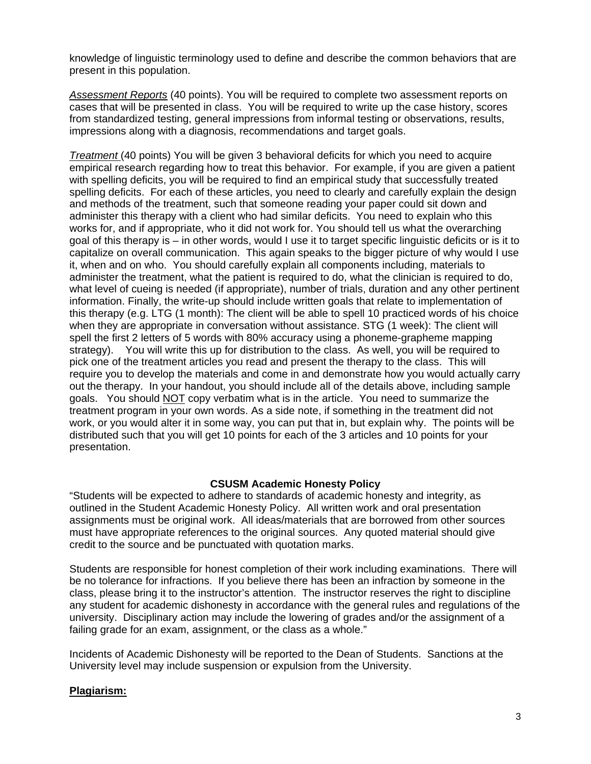knowledge of linguistic terminology used to define and describe the common behaviors that are present in this population.

*Assessment Reports* (40 points). You will be required to complete two assessment reports on cases that will be presented in class. You will be required to write up the case history, scores from standardized testing, general impressions from informal testing or observations, results, impressions along with a diagnosis, recommendations and target goals.

 strategy). You will write this up for distribution to the class. As well, you will be required to *Treatment* (40 points) You will be given 3 behavioral deficits for which you need to acquire empirical research regarding how to treat this behavior. For example, if you are given a patient with spelling deficits, you will be required to find an empirical study that successfully treated spelling deficits. For each of these articles, you need to clearly and carefully explain the design and methods of the treatment, such that someone reading your paper could sit down and administer this therapy with a client who had similar deficits. You need to explain who this works for, and if appropriate, who it did not work for. You should tell us what the overarching goal of this therapy is – in other words, would I use it to target specific linguistic deficits or is it to capitalize on overall communication. This again speaks to the bigger picture of why would I use it, when and on who. You should carefully explain all components including, materials to administer the treatment, what the patient is required to do, what the clinician is required to do, what level of cueing is needed (if appropriate), number of trials, duration and any other pertinent information. Finally, the write-up should include written goals that relate to implementation of this therapy (e.g. LTG (1 month): The client will be able to spell 10 practiced words of his choice when they are appropriate in conversation without assistance. STG (1 week): The client will spell the first 2 letters of 5 words with 80% accuracy using a phoneme-grapheme mapping pick one of the treatment articles you read and present the therapy to the class. This will require you to develop the materials and come in and demonstrate how you would actually carry out the therapy. In your handout, you should include all of the details above, including sample goals. You should NOT copy verbatim what is in the article. You need to summarize the treatment program in your own words. As a side note, if something in the treatment did not work, or you would alter it in some way, you can put that in, but explain why. The points will be distributed such that you will get 10 points for each of the 3 articles and 10 points for your presentation.

### **CSUSM Academic Honesty Policy**

"Students will be expected to adhere to standards of academic honesty and integrity, as outlined in the Student Academic Honesty Policy. All written work and oral presentation assignments must be original work. All ideas/materials that are borrowed from other sources must have appropriate references to the original sources. Any quoted material should give credit to the source and be punctuated with quotation marks.

Students are responsible for honest completion of their work including examinations. There will be no tolerance for infractions. If you believe there has been an infraction by someone in the class, please bring it to the instructor's attention. The instructor reserves the right to discipline any student for academic dishonesty in accordance with the general rules and regulations of the university. Disciplinary action may include the lowering of grades and/or the assignment of a failing grade for an exam, assignment, or the class as a whole."

Incidents of Academic Dishonesty will be reported to the Dean of Students. Sanctions at the University level may include suspension or expulsion from the University.

### **Plagiarism:**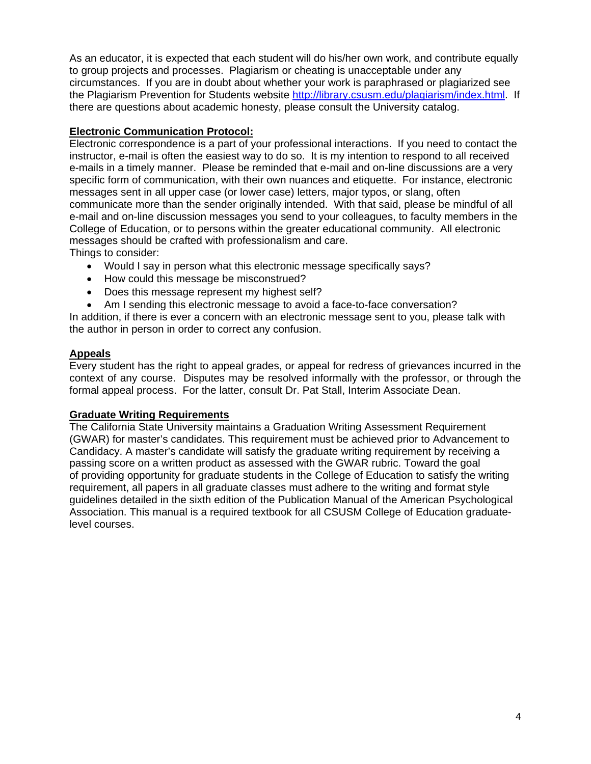As an educator, it is expected that each student will do his/her own work, and contribute equally to group projects and processes. Plagiarism or cheating is unacceptable under any circumstances. If you are in doubt about whether your work is paraphrased or plagiarized see the Plagiarism Prevention for Students website http://library.csusm.edu/plagiarism/index.html. If there are questions about academic honesty, please consult the University catalog.

## **Electronic Communication Protocol:**

Electronic correspondence is a part of your professional interactions. If you need to contact the instructor, e-mail is often the easiest way to do so. It is my intention to respond to all received e-mails in a timely manner. Please be reminded that e-mail and on-line discussions are a very specific form of communication, with their own nuances and etiquette. For instance, electronic messages sent in all upper case (or lower case) letters, major typos, or slang, often communicate more than the sender originally intended. With that said, please be mindful of all e-mail and on-line discussion messages you send to your colleagues, to faculty members in the College of Education, or to persons within the greater educational community. All electronic messages should be crafted with professionalism and care. Things to consider:

- Would I say in person what this electronic message specifically says?
- How could this message be misconstrued?
- Does this message represent my highest self?
- Am I sending this electronic message to avoid a face-to-face conversation?

In addition, if there is ever a concern with an electronic message sent to you, please talk with the author in person in order to correct any confusion.

## **Appeals**

Every student has the right to appeal grades, or appeal for redress of grievances incurred in the context of any course. Disputes may be resolved informally with the professor, or through the formal appeal process. For the latter, consult Dr. Pat Stall, Interim Associate Dean.

## **Graduate Writing Requirements**

The California State University maintains a Graduation Writing Assessment Requirement (GWAR) for master's candidates. This requirement must be achieved prior to Advancement to Candidacy. A master's candidate will satisfy the graduate writing requirement by receiving a passing score on a written product as assessed with the GWAR rubric. Toward the goal of providing opportunity for graduate students in the College of Education to satisfy the writing requirement, all papers in all graduate classes must adhere to the writing and format style guidelines detailed in the sixth edition of the Publication Manual of the American Psychological Association. This manual is a required textbook for all CSUSM College of Education graduatelevel courses.